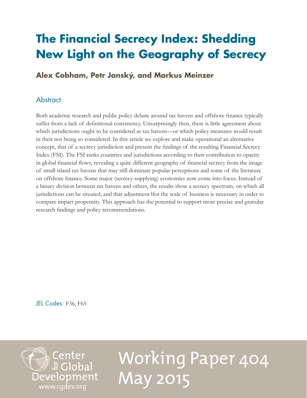# **The Financial Secrecy Index: Shedding New Light on the Geography of Secrecy**

**Alex Cobham, Petr Janský, and Markus Meinzer** 

# **Abstract**

Both academic research and public policy debate around tax havens and offshore finance typically suffer from a lack of definitional consistency. Unsurprisingly then, there is little agreement about which jurisdictions ought to be considered as tax havens—or which policy measures would result in their not being so considered. In this article we explore and make operational an alternative concept, that of a secrecy jurisdiction and present the findings of the resulting Financial Secrecy Index (FSI). The FSI ranks countries and jurisdictions according to their contribution to opacity in global financial flows, revealing a quite different geography of financial secrecy from the image of small island tax havens that may still dominate popular perceptions and some of the literature on offshore finance. Some major (secrecy-supplying) economies now come into focus. Instead of a binary division between tax havens and others, the results show a secrecy spectrum, on which all jurisdictions can be situated, and that adjustment lfor the scale of business is necessary in order to compare impact propensity. This approach has the potential to support more precise and granular research findings and policy recommendations.

JEL Codes: F36, F65



Working Paper 404 May 2015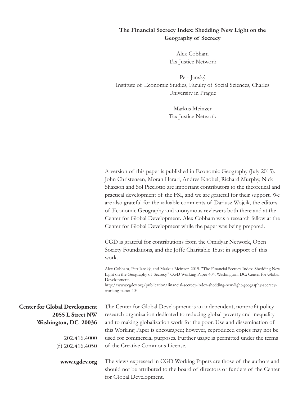## **The Financial Secrecy Index: Shedding New Light on the Geography of Secrecy**

Alex Cobham Tax Justice Network

Petr Janský Institute of Economic Studies, Faculty of Social Sciences, Charles University in Prague

> Markus Meinzer Tax Justice Network

A version of this paper is published in Economic Geography (July 2015). John Christensen, Moran Harari, Andres Knobel, Richard Murphy, Nick Shaxson and Sol Picciotto are important contributors to the theoretical and practical development of the FSI, and we are grateful for their support. We are also grateful for the valuable comments of Dariusz Wojcik, the editors of Economic Geography and anonymous reviewers both there and at the Center for Global Development. Alex Cobham was a research fellow at the Center for Global Development while the paper was being prepared.

CGD is grateful for contributions from the Omidyar Network, Open Society Foundations, and the Joffe Charitable Trust in support of this work.

Alex Cobham, Petr Janský, and Markus Meinzer. 2015. "The Financial Secrecy Index: Shedding New Light on the Geography of Secrecy." CGD Working Paper 404. Washington, DC: Center for Global Development.

http://www.cgdev.org/publication/financial-secrecy-index-shedding-new-light-geography-secrecyworking-paper-404

**Center for Global Development 2055 L Street NW Washington, DC 20036**

> 202.416.4000 (f) 202.416.4050

> > **www.cgdev.org**

The Center for Global Development is an independent, nonprofit policy research organization dedicated to reducing global poverty and inequality and to making globalization work for the poor. Use and dissemination of this Working Paper is encouraged; however, reproduced copies may not be used for commercial purposes. Further usage is permitted under the terms of the Creative Commons License.

The views expressed in CGD Working Papers are those of the authors and should not be attributed to the board of directors or funders of the Center for Global Development.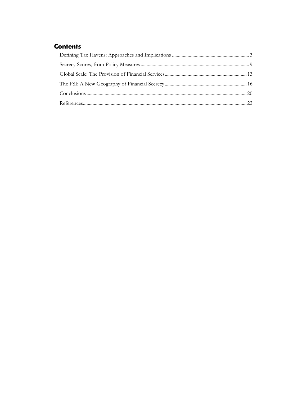# **Contents**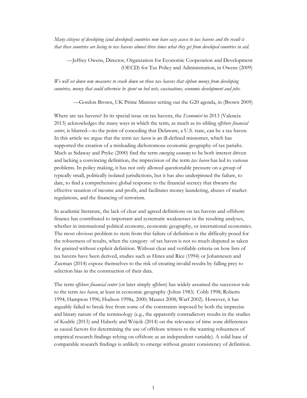*Many citizens of developing (and developed) countries now have easy access to tax havens and the result is that these countries are losing to tax havens almost three times what they get from developed countries in aid.* 

—Jeffrey Owens, Director, Organzation for Economic Cooperation and Development (OECD) for Tax Policy and Administration, in Owens (2009)

*We will set down new measures to crack down on those tax havens that siphon money from developing countries, money that could otherwise be spent on bed nets, vaccinations, economic development and jobs.* 

—Gordon Brown, UK Prime Minister setting out the G20 agenda, in (Brown 2009)

Where are tax havens? In its special issue on tax havens, the *Economist* in 2013 (Valencia 2013) acknowledges the many ways in which the term, as much as its sibling *offshore financial center*, is blurred—to the point of conceding that Delaware, a U.S. state, can be a tax haven. In this article we argue that the term *tax haven* is an ill-defined misnomer, which has supported the creation of a misleading dichotomous economic geography of tax pariahs. Much as Sidaway and Pryke (2000) find the term *emerging economy* to be both interest driven and lacking a convincing definition, the imprecision of the term *tax haven* has led to various problems. In policy making, it has not only allowed questionable pressure on a group of typically small, politically isolated jurisdictions, but it has also underpinned the failure, to date, to find a comprehensive global response to the financial secrecy that thwarts the effective taxation of income and profit, and facilitates money laundering, abuses of market regulations, and the financing of terrorism.

In academic literature, the lack of clear and agreed definitions on tax havens and offshore finance has contributed to important and systematic weaknesses in the resulting analyses, whether in international political economy, economic geography, or international economics. The most obvious problem to stem from this failure of definition is the difficulty posed for the robustness of results, when the category of tax haven is not so much disputed as taken for granted without explicit definition. Without clear and verifiable criteria on how lists of tax havens have been derived, studies such as Hines and Rice (1994) or Johannesen and Zucman (2014) expose themselves to the risk of creating invalid results by falling prey to selection bias in the construction of their data.

The term *offshore financial center* (or later simply *offshore*) has widely assumed the successor role to the term *tax haven*, at least in economic geography (Johns 1983; Cobb 1998; Roberts 1994; Hampton 1996; Hudson 1998a, 2000; Maurer 2008; Warf 2002). However, it has arguably failed to break free from some of the constraints imposed by both the imprecise and binary nature of the terminology (e.g., the apparently contradictory results in the studies of Kudrle (2013) and Haberly and Wójcik (2014) on the relevance of time zone differences as causal factors for determining the use of offshore witness to the wanting robustness of empirical research findings relying on offshore as an independent variable). A solid base of comparable research findings is unlikely to emerge without greater consistency of definition.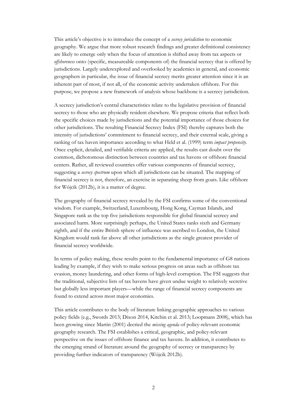This article's objective is to introduce the concept of a *secrecy jurisdiction* to economic geography. We argue that more robust research findings and greater definitional consistency are likely to emerge only when the focus of attention is shifted away from tax aspects or *offshoreness* onto (specific, measureable components of) the financial secrecy that is offered by jurisdictions. Largely underexplored and overlooked by academics in general, and economic geographers in particular, the issue of financial secrecy merits greater attention since it is an inherent part of most, if not all, of the economic activity undertaken offshore. For this purpose, we propose a new framework of analysis whose backbone is a secrecy jurisdiction.

A secrecy jurisdiction's central characteristics relate to the legislative provision of financial secrecy to those who are physically resident elsewhere. We propose criteria that reflect both the specific choices made by jurisdictions and the potential importance of those choices for other jurisdictions. The resulting Financial Secrecy Index (FSI) thereby captures both the intensity of jurisdictions' commitment to financial secrecy, and their external scale, giving a ranking of tax haven importance according to what Held et al. (1999) term *impact propensity*. Once explicit, detailed, and verifiable criteria are applied, the results cast doubt over the common, dichotomous distinction between countries and tax havens or offshore financial centers. Rather, all reviewed countries offer various components of financial secrecy, suggesting a *secrecy spectrum* upon which all jurisdictions can be situated. The mapping of financial secrecy is not, therefore, an exercise in separating sheep from goats. Like offshore for Wójcik (2012b), it is a matter of degree.

The geography of financial secrecy revealed by the FSI confirms some of the conventional wisdom. For example, Switzerland, Luxembourg, Hong Kong, Cayman Islands, and Singapore rank as the top five jurisdictions responsible for global financial secrecy and associated harm. More surprisingly perhaps, the United States ranks sixth and Germany eighth, and if the entire British sphere of influence was ascribed to London, the United Kingdom would rank far above all other jurisdictions as the single greatest provider of financial secrecy worldwide.

In terms of policy making, these results point to the fundamental importance of G8 nations leading by example, if they wish to make serious progress on areas such as offshore tax evasion, money laundering, and other forms of high-level corruption. The FSI suggests that the traditional, subjective lists of tax havens have given undue weight to relatively secretive but globally less important players—while the range of financial secrecy components are found to extend across most major economies.

This article contributes to the body of literature linking geographic approaches to various policy fields (e.g., Swords 2013; Dixon 2014, Kitchin et al. 2013; Loopmans 2008), which has been growing since Martin (2001) decried the *missing agenda* of policy-relevant economic geography research. The FSI establishes a critical, geographic, and policy-relevant perspective on the issues of offshore finance and tax havens. In addition, it contributes to the emerging strand of literature around the geography of secrecy or transparency by providing further indicators of transparency (Wójcik 2012b).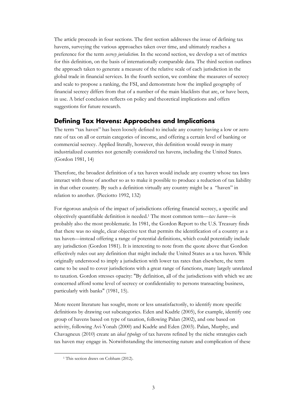The article proceeds in four sections. The first section addresses the issue of defining tax havens, surveying the various approaches taken over time, and ultimately reaches a preference for the term *secrecy jurisdiction*. In the second section, we develop a set of metrics for this definition, on the basis of internationally comparable data. The third section outlines the approach taken to generate a measure of the relative scale of each jurisdiction in the global trade in financial services. In the fourth section, we combine the measures of secrecy and scale to propose a ranking, the FSI, and demonstrate how the implied geography of financial secrecy differs from that of a number of the main blacklists that are, or have been, in use. A brief conclusion reflects on policy and theoretical implications and offers suggestions for future research.

## **Defining Tax Havens: Approaches and Implications**

The term "tax haven" has been loosely defined to include any country having a low or zero rate of tax on all or certain categories of income, and offering a certain level of banking or commercial secrecy. Applied literally, however, this definition would sweep in many industrialized countries not generally considered tax havens, including the United States. (Gordon 1981, 14)

Therefore, the broadest definition of a tax haven would include any country whose tax laws interact with those of another so as to make it possible to produce a reduction of tax liability in that other country. By such a definition virtually any country might be a "haven" in relation to another. (Picciotto 1992, 132)

For rigorous analysis of the impact of jurisdictions offering financial secrecy, a specific and objectively quantifiable definition is needed.1 The most common term—*tax haven*—is probably also the most problematic. In 1981, the Gordon Report to the U.S. Treasury finds that there was no single, clear objective test that permits the identification of a country as a tax haven—instead offering a range of potential definitions, which could potentially include any jurisdiction (Gordon 1981). It is interesting to note from the quote above that Gordon effectively rules out any definition that might include the United States as a tax haven. While originally understood to imply a jurisdiction with lower tax rates than elsewhere, the term came to be used to cover jurisdictions with a great range of functions, many largely unrelated to taxation. Gordon stresses opacity: "By definition, all of the jurisdictions with which we are concerned afford some level of secrecy or confidentiality to persons transacting business, particularly with banks" (1981, 15).

More recent literature has sought, more or less unsatisfactorily, to identify more specific definitions by drawing out subcategories. Eden and Kudrle (2005), for example, identify one group of havens based on type of taxation, following Palan (2002), and one based on activity, following Avi-Yonah (2000) and Kudrle and Eden (2003). Palan, Murphy, and Chavagneux (2010) create an *ideal typology* of tax havens refined by the niche strategies each tax haven may engage in. Notwithstanding the intersecting nature and complication of these

l

<sup>&</sup>lt;sup>1</sup> This section draws on Cobham (2012).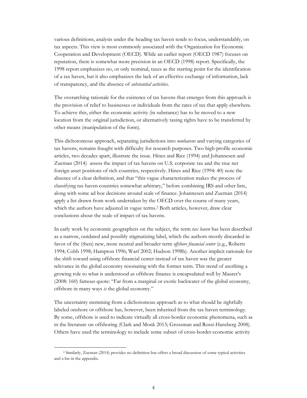various definitions, analysis under the heading tax haven tends to focus, understandably, on tax aspects. This view is most commonly associated with the Organization for Economic Cooperation and Development (OECD). While an earlier report (OECD 1987) focuses on reputation, there is somewhat more precision in an OECD (1998) report. Specifically, the 1998 report emphasizes no, or only nominal, taxes as the starting point for the identification of a tax haven, but it also emphasizes the lack of an effective exchange of information, lack of transparency, and the absence of *substantial activities*.

The overarching rationale for the existence of tax havens that emerges from this approach is the provision of relief to businesses or individuals from the rates of tax that apply elsewhere. To achieve this, either the economic activity (in substance) has to be moved to a new location from the original jurisdiction, or alternatively taxing rights have to be transferred by other means (manipulation of the form).

This dichotomous approach, separating jurisdictions into *nonhavens* and varying categories of tax havens, remains fraught with difficulty for research purposes. Two high-profile economic articles, two decades apart, illustrate the issue. Hines and Rice (1994) and Johannesen and Zucman (2014) assess the impact of tax havens on U.S. corporate tax and the true net foreign asset positions of rich countries, respectively. Hines and Rice (1994: 40) note the absence of a clear definition, and that "this vague characterization makes the process of classifying tax haven countries somewhat arbitrary," before combining IRS and other lists, along with some ad hoc decisions around scale of finance. Johannesen and Zucman (2014) apply a list drawn from work undertaken by the OECD over the course of many years, which the authors have adjusted in vague terms.<sup>2</sup> Both articles, however, draw clear conclusions about the scale of impact of tax havens.

In early work by economic geographers on the subject, the term *tax haven* has been described as a narrow, outdated and possibly stigmatizing label, which the authors mostly discarded in favor of the (then) new, more neutral and broader term *offshore financial center* (e.g., Roberts 1994; Cobb 1998; Hampton 1996; Warf 2002; Hudson 1998b). Another implicit rationale for the shift toward using offshore financial center instead of tax haven was the greater relevance in the global economy resonating with the former term. This trend of ascribing a growing role to what is understood as offshore finance is encapsulated well by Maurer's (2008: 160) famous quote: "Far from a marginal or exotic backwater of the global economy, offshore in many ways *is* the global economy."

The uncertainty stemming from a dichotomous approach as to what should be rightfully labeled onshore or offshore has, however, been inherited from the tax haven terminology. By some, offshore is used to indicate virtually all cross-border economic phenomena, such as in the literature on offshoring (Clark and Monk 2013; Grossman and Rossi-Hansberg 2008). Others have used the terminology to include some subset of cross-border economic activity

l

<sup>2</sup> Similarly, Zucman (2014) provides no definition but offers a broad discussion of some typical activities and a list in the appendix.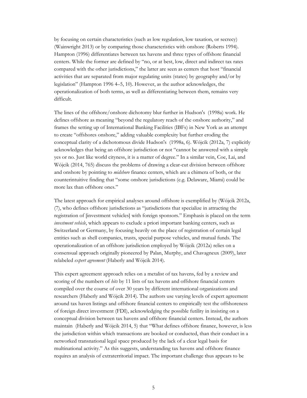by focusing on certain characteristics (such as low regulation, low taxation, or secrecy) (Wainwright 2013) or by comparing those characteristics with onshore (Roberts 1994). Hampton (1996) differentiates between tax havens and three types of offshore financial centers. While the former are defined by "no, or at best, low, direct and indirect tax rates compared with the other jurisdictions," the latter are seen as centers that host "financial activities that are separated from major regulating units (states) by geography and/or by legislation" (Hampton 1996 4–5, 10). However, as the author acknowledges, the operationalization of both terms, as well as differentiating between them, remains very difficult.

The lines of the offshore/onshore dichotomy blur further in Hudson's (1998a) work. He defines offshore as meaning "beyond the regulatory reach of the onshore authority," and frames the setting up of International Banking Facilities (IBFs) in New York as an attempt to create "offshores onshore," adding valuable complexity but further eroding the conceptual clarity of a dichotomous divide Hudson's (1998a, 6). Wójcik (2012a, 7) explicitly acknowledges that being an offshore jurisdiction or not "cannot be answered with a simple yes or no. Just like world cityness, it is a matter of degree." In a similar vein, Coe, Lai, and Wójcik (2014, 765) discuss the problems of drawing a clear-cut division between offshore and onshore by pointing to *midshore* finance centers, which are a chimera of both, or the counterintuitive finding that "some onshore jurisdictions (e.g. Delaware, Miami) could be more lax than offshore ones."

The latest approach for empirical analyses around offshore is exemplified by (Wójcik 2012a, (7), who defines offshore jurisdictions as "jurisdictions that specialize in attracting the registration of [investment vehicles] with foreign sponsors." Emphasis is placed on the term *investment vehicle*, which appears to exclude a priori important banking centers, such as Switzerland or Germany, by focusing heavily on the place of registration of certain legal entities such as shell companies, trusts, special purpose vehicles, and mutual funds. The operationalization of an offshore jurisdiction employed by Wójcik (2012a) relies on a consensual approach originally pioneered by Palan, Murphy, and Chavagneux (2009), later relabeled *expert agreement* (Haberly and Wójcik 2014).

This expert agreement approach relies on a metalist of tax havens, fed by a review and scoring of the numbers of *hits* by 11 lists of tax havens and offshore financial centers compiled over the course of over 30 years by different international organizations and researchers (Haberly and Wójcik 2014). The authors use varying levels of expert agreement around tax haven listings and offshore financial centers to empirically test the offshoreness of foreign direct investment (FDI), acknowledging the possible futility in insisting on a conceptual division between tax havens and offshore financial centers. Instead, the authors maintain (Haberly and Wójcik 2014, 5) that "What defines offshore finance, however, is less the jurisdiction within which transactions are booked or conducted, than their conduct in a networked transnational legal space produced by the lack of a clear legal basis for multinational activity." As this suggests, understanding tax havens and offshore finance requires an analysis of extraterritorial impact. The important challenge thus appears to be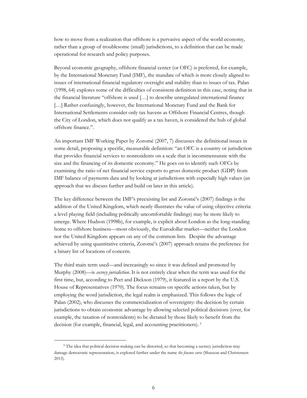how to move from a realization that offshore is a pervasive aspect of the world economy, rather than a group of troublesome (small) jurisdictions, to a definition that can be made operational for research and policy purposes.

Beyond economic geography, offshore financial center (or OFC) is preferred, for example, by the International Monetary Fund (IMF), the mandate of which is more closely aligned to issues of international financial regulatory oversight and stability than to issues of tax. Palan (1998, 64) explores some of the difficulties of consistent definition in this case, noting that in the financial literature "offshore is used […] to describe unregulated international finance [...] Rather confusingly, however, the International Monetary Fund and the Bank for International Settlements consider only tax havens as Offshore Financial Centres, though the City of London, which does not qualify as a tax haven, is considered the hub of global offshore finance.".

An important IMF Working Paper by Zoromé (2007, 7) discusses the definitional issues in some detail, proposing a specific, measurable definition: "an OFC is a country or jurisdiction that provides financial services to nonresidents on a scale that is incommensurate with the size and the financing of its domestic economy." He goes on to identify such OFCs by examining the ratio of net financial service exports to gross domestic product (GDP) from IMF balance of payments data and by looking at jurisdictions with especially high values (an approach that we discuss further and build on later in this article).

The key difference between the IMF's preexisting list and Zoromé's (2007) findings is the addition of the United Kingdom, which neatly illustrates the value of using objective criteria: a level playing field (including politically uncomfortable findings) may be more likely to emerge. Where Hudson (1998b), for example, is explicit about London as the long-standing home to offshore business—most obviously, the Eurodollar market—neither the London nor the United Kingdom appears on any of the common lists. Despite the advantage achieved by using quantitative criteria, Zoromé's (2007) approach retains the preference for a binary list of locations of concern.

The third main term used—and increasingly so since it was defined and promoted by Murphy (2008)—is *secrecy jurisdiction*. It is not entirely clear when the term was used for the first time, but, according to Peet and Dickson (1979), it featured in a report by the U.S. House of Representatives (1970). The focus remains on specific actions taken, but by employing the word jurisdiction, the legal realm is emphasized. This follows the logic of Palan (2002), who discusses the commercialization of sovereignty: the decision by certain jurisdictions to obtain economic advantage by allowing selected political decisions (over, for example, the taxation of nonresidents) to be dictated by those likely to benefit from the decision (for example, financial, legal, and accounting practitioners). 3

 $\overline{\phantom{a}}$ 

<sup>&</sup>lt;sup>3</sup> The idea that political decision making can be distorted, so that becoming a secrecy jurisdiction may damage democratic representation, is explored further under the name *the finance curse* (Shaxson and Christensen 2013).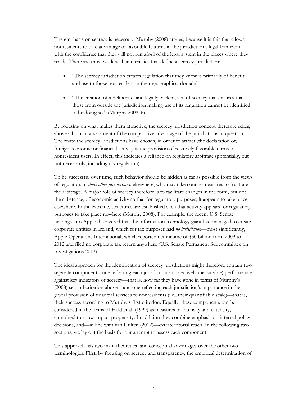The emphasis on secrecy is necessary, Murphy (2008) argues, because it is this that allows nonresidents to take advantage of favorable features in the jurisdiction's legal framework with the confidence that they will not run afoul of the legal system in the places where they reside. There are thus two key characteristics that define a secrecy jurisdiction:

- "The secrecy jurisdiction creates regulation that they know is primarily of benefit and use to those not resident in their geographical domain"
- "The creation of a deliberate, and legally backed, veil of secrecy that ensures that those from outside the jurisdiction making use of its regulation cannot be identified to be doing so." (Murphy 2008, 6)

By focusing on what makes them attractive, the secrecy jurisdiction concept therefore relies, above all, on an assessment of the comparative advantage of the jurisdictions in question. The route the secrecy jurisdictions have chosen, in order to attract (the declaration of) foreign economic or financial activity is the provision of relatively favorable terms to nonresident users. In effect, this indicates a reliance on regulatory arbitrage (potentially, but not necessarily, including tax regulation).

To be successful over time, such behavior should be hidden as far as possible from the views of regulators in *those other jurisdictions*, elsewhere, who may take countermeasures to frustrate the arbitrage. A major role of secrecy therefore is to facilitate changes in the form, but not the substance, of economic activity so that for regulatory purposes, it appears to take place elsewhere. In the extreme, structures are established such that activity appears for regulatory purposes to take place nowhere (Murphy 2008). For example, the recent U.S. Senate hearings into Apple discovered that the information technology giant had managed to create corporate entities in Ireland, which for tax purposes had *no jurisdiction*—most significantly, Apple Operations International, which reported net income of \$30 billion from 2009 to 2012 and filed no corporate tax return anywhere (U.S. Senate Permanent Subcommittee on Investigations 2013).

The ideal approach for the identification of secrecy jurisdictions might therefore contain two separate components: one reflecting each jurisdiction's (objectively measurable) performance against key indicators of secrecy—that is, how far they have gone in terms of Murphy's (2008) second criterion above—and one reflecting each jurisdiction's importance in the global provision of financial services to nonresidents (i.e., their quantifiable scale)—that is, their success according to Murphy's first criterion. Equally, these components can be considered in the terms of Held et al. (1999) as measures of intensity and extensity, combined to show impact propensity. In addition they combine emphasis on internal policy decisions, and—in line with van Hulten (2012)—extraterritorial reach. In the following two sections, we lay out the basis for our attempt to assess each component.

This approach has two main theoretical and conceptual advantages over the other two terminologies. First, by focusing on secrecy and transparency, the empirical determination of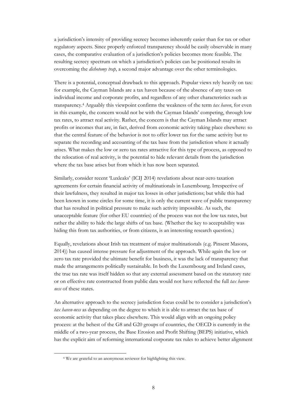a jurisdiction's intensity of providing secrecy becomes inherently easier than for tax or other regulatory aspects. Since properly enforced transparency should be easily observable in many cases, the comparative evaluation of a jurisdiction's policies becomes more feasible. The resulting secrecy spectrum on which a jurisdiction's policies can be positioned results in overcoming the *dichotomy trap*, a second major advantage over the other terminologies.

There is a potential, conceptual drawback to this approach. Popular views rely heavily on tax: for example, the Cayman Islands are a tax haven because of the absence of any taxes on individual income and corporate profits, and regardless of any other characteristics such as transparency.4 Arguably this viewpoint confirms the weakness of the term *tax haven*, for even in this example, the concern would not be with the Cayman Islands' competing, through low tax rates, to attract real activity. Rather, the concern is that the Cayman Islands may attract profits or incomes that are, in fact, derived from economic activity taking place elsewhere: so that the central feature of the behavior is not to offer lower tax for the same activity but to separate the recording and accounting of the tax base from the jurisdiction where it actually arises. What makes the low or zero tax rates attractive for this type of process, as opposed to the relocation of real activity, is the potential to hide relevant details from the jurisdiction where the tax base arises but from which it has now been separated.

Similarly, consider recent 'Luxleaks' (ICIJ 2014) revelations about near-zero taxation agreements for certain financial activity of multinationals in Luxembourg. Irrespective of their lawfulness, they resulted in major tax losses in other jurisdictions; but while this had been known in some circles for some time, it is only the current wave of public transparency that has resulted in political pressure to make such activity impossible. As such, the unacceptable feature (for other EU countries) of the process was not the low tax rates, but rather the ability to hide the large shifts of tax base. (Whether the key to acceptability was hiding this from tax authorities, or from citizens, is an interesting research question.)

Equally, revelations about Irish tax treatment of major multinationals (e.g. Pinsent Masons, 2014)) has caused intense pressure for adjustment of the approach. While again the low or zero tax rate provided the ultimate benefit for business, it was the lack of transparency that made the arrangements politically sustainable. In both the Luxembourg and Ireland cases, the true tax rate was itself hidden so that any external assessment based on the statutory rate or on effective rate constructed from public data would not have reflected the full *tax havenness* of these states.

An alternative approach to the secrecy jurisdiction focus could be to consider a jurisdiction's *tax haven-ness* as depending on the degree to which it is able to attract the tax base of economic activity that takes place elsewhere. This would align with an ongoing policy process: at the behest of the G8 and G20 groups of countries, the OECD is currently in the middle of a two-year process, the Base Erosion and Profit Shifting (BEPS) initiative, which has the explicit aim of reforming international corporate tax rules to achieve better alignment

l

<sup>4</sup> We are grateful to an anonymous reviewer for highlighting this view.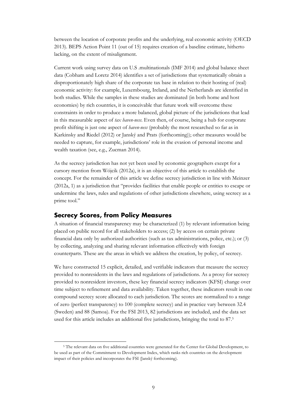between the location of corporate profits and the underlying, real economic activity (OECD 2013). BEPS Action Point 11 (out of 15) requires creation of a baseline estimate, hitherto lacking, on the extent of misalignment.

Current work using survey data on U.S .multinationals (IMF 2014) and global balance sheet data (Cobham and Loretz 2014) identifies a set of jurisdictions that systematically obtain a disproportionately high share of the corporate tax base in relation to their hosting of (real) economic activity: for example, Luxembourg, Ireland, and the Netherlands are identified in both studies. While the samples in these studies are dominated (in both home and host economies) by rich countries, it is conceivable that future work will overcome these constraints in order to produce a more balanced, global picture of the jurisdictions that lead in this measurable aspect of *tax haven-ness*. Even then, of course, being a hub for corporate profit shifting is just one aspect of *haven-ness* (probably the most researched so far as in Karkinsky and Riedel (2012) or Janský and Prats (forthcoming)); other measures would be needed to capture, for example, jurisdictions' role in the evasion of personal income and wealth taxation (see, e.g., Zucman 2014).

As the secrecy jurisdiction has not yet been used by economic geographers except for a cursory mention from Wójcik (2012a), it is an objective of this article to establish the concept. For the remainder of this article we define secrecy jurisdiction in line with Meinzer (2012a, 1) as a jurisdiction that "provides facilities that enable people or entities to escape or undermine the laws, rules and regulations of other jurisdictions elsewhere, using secrecy as a prime tool."

## **Secrecy Scores, from Policy Measures**

1

A situation of financial transparency may be characterized (1) by relevant information being placed on public record for all stakeholders to access; (2) by access on certain private financial data only by authorized authorities (such as tax administrations, police, etc.); or (3) by collecting, analyzing and sharing relevant information effectively with foreign counterparts. These are the areas in which we address the creation, by policy, of secrecy.

We have constructed 15 explicit, detailed, and verifiable indicators that measure the secrecy provided to nonresidents in the laws and regulations of jurisdictions. As a proxy for secrecy provided to nonresident investors, these key financial secrecy indicators (KFSI) change over time subject to refinement and data availability. Taken together, these indicators result in one compound secrecy score allocated to each jurisdiction. The scores are normalized to a range of zero (perfect transparency) to 100 (complete secrecy) and in practice vary between 32.4 (Sweden) and 88 (Samoa). For the FSI 2013, 82 jurisdictions are included, and the data set used for this article includes an additional five jurisdictions, bringing the total to 87.5

<sup>&</sup>lt;sup>5</sup> The relevant data on five additional countries were generated for the Center for Global Development, to be used as part of the Commitment to Development Index, which ranks rich countries on the development impact of their policies and incorporates the FSI (Janský forthcoming).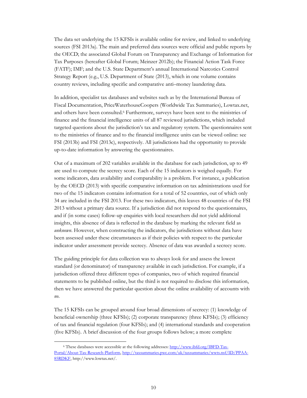The data set underlying the 15 KFSIs is available online for review, and linked to underlying sources (FSI 2013a). The main and preferred data sources were official and public reports by the OECD; the associated Global Forum on Transparency and Exchange of Information for Tax Purposes (hereafter Global Forum; Meinzer 2012b); the Financial Action Task Force (FATF); IMF; and the U.S. State Department's annual International Narcotics Control Strategy Report (e.g., U.S. Department of State (2013), which in one volume contains country reviews, including specific and comparative anti–money laundering data.

In addition, specialist tax databases and websites such as by the International Bureau of Fiscal Documentation, PriceWaterhouseCoopers (Worldwide Tax Summaries), Lowtax.net, and others have been consulted.6 Furthermore, surveys have been sent to the ministries of finance and the financial intelligence units of all 87 reviewed jurisdictions, which included targeted questions about the jurisdiction's tax and regulatory system. The questionnaires sent to the ministries of finance and to the financial intelligence units can be viewed online: see FSI (2013b) and FSI (2013c), respectively. All jurisdictions had the opportunity to provide up-to-date information by answering the questionnaires.

Out of a maximum of 202 variables available in the database for each jurisdiction, up to 49 are used to compute the secrecy score. Each of the 15 indicators is weighed equally. For some indicators, data availability and comparability is a problem. For instance, a publication by the OECD (2013) with specific comparative information on tax administrations used for two of the 15 indicators contains information for a total of 52 countries, out of which only 34 are included in the FSI 2013. For these two indicators, this leaves 48 countries of the FSI 2013 without a primary data source. If a jurisdiction did not respond to the questionnaires, and if (in some cases) follow-up enquiries with local researchers did not yield additional insights, this absence of data is reflected in the database by marking the relevant field as *unknown*. However, when constructing the indicators, the jurisdictions without data have been assessed under these circumstances as if their policies with respect to the particular indicator under assessment provide secrecy. Absence of data was awarded a secrecy score.

The guiding principle for data collection was to always look for and assess the lowest standard (or denominator) of transparency available in each jurisdiction. For example, if a jurisdiction offered three different types of companies, two of which required financial statements to be published online, but the third is not required to disclose this information, then we have answered the particular question about the online availability of accounts with *no*.

The 15 KFSIs can be grouped around four broad dimensions of secrecy: (1) knowledge of beneficial ownership (three KFSIs); (2) corporate transparency (three KFSIs); (3) efficiency of tax and financial regulation (four KFSIs); and (4) international standards and cooperation (five KFSIs). A brief discussion of the four groups follows below; a more complete

 $\overline{a}$ 

<sup>6</sup> These databases were accessible at the following addresses: http://www.ibfd.org/IBFD-Tax-Portal/About-Tax-Research-Platform, http://taxsummaries.pwc.com/uk/taxsummaries/wwts.nsf/ID/PPAA-85RDKF, http://www.lowtax.net/.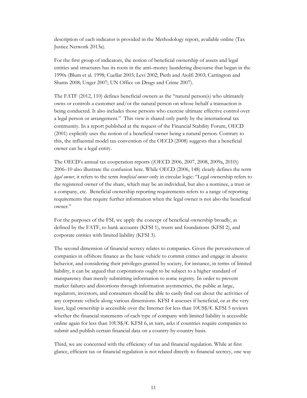description of each indicator is provided in the Methodology report, available online (Tax Justice Network 2013a).

For the first group of indicators, the notion of beneficial ownership of assets and legal entities and structures has its roots in the anti–money laundering discourse that began in the 1990s (Blum et al. 1998; Cuellar 2003; Levi 2002; Pieth and Aiolfi 2003; Carrington and Shams 2008; Unger 2007; UN Office on Drugs and Crime 2007).

The FATF (2012, 110) defines beneficial owners as the "natural person(s) who ultimately owns or controls a customer and/or the natural person on whose behalf a transaction is being conducted. It also includes those persons who exercise ultimate effective control over a legal person or arrangement." This view is shared only partly by the international tax community. In a report published at the request of the Financial Stability Forum, OECD (2001) explicitly uses the notion of a beneficial owner being a natural person. Contrary to this, the influential model tax convention of the OECD (2008) suggests that a beneficial owner can be a legal entity.

The OECD's annual tax cooperation reports ((OECD 2006, 2007, 2008, 2009a, 2010)) 2006–10 also illustrate the confusion here. While OECD (2006, 148) clearly defines the term *legal owner*, it refers to the term *beneficial owner* only in circular logic: "Legal ownership refers to the registered owner of the share, which may be an individual, but also a nominee, a trust or a company, etc. Beneficial ownership reporting requirements refers to a range of reporting requirements that require further information when the legal owner is not also the beneficial owner."

For the purposes of the FSI, we apply the concept of beneficial ownership broadly, as defined by the FATF, to bank accounts (KFSI 1), trusts and foundations (KFSI 2), and corporate entities with limited liability (KFSI 3).

The second dimension of financial secrecy relates to companies. Given the pervasiveness of companies in offshore finance as the basic vehicle to commit crimes and engage in abusive behavior, and considering their privileges granted by society, for instance, in terms of limited liability, it can be argued that corporations ought to be subject to a higher standard of transparency than merely submitting information to some registry. In order to prevent market failures and distortions through information asymmetries, the public at large, regulators, investors, and consumers should be able to easily find out about the activities of any corporate vehicle along various dimensions. KFSI 4 assesses if beneficial, or at the very least, legal ownership is accessible over the Internet for less than  $10US $\sqrt{\epsilon}$ . KFSI 5 reviews$ whether the financial statements of each type of company with limited liability is accessible online again for less than  $10\text{US}\%/\epsilon$ . KFSI 6, in turn, asks if countries require companies to submit and publish certain financial data on a country-by-country basis.

Third, we are concerned with the efficiency of tax and financial regulation. While at first glance, efficient tax or financial regulation is not related directly to financial secrecy, one way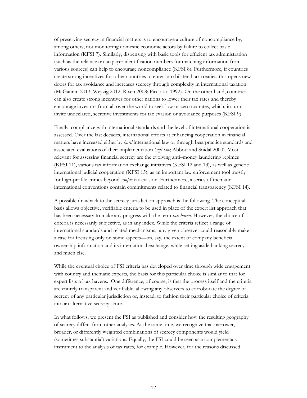of preserving secrecy in financial matters is to encourage a culture of noncompliance by, among others, not monitoring domestic economic actors by failure to collect basic information (KFSI 7). Similarly, dispensing with basic tools for efficient tax administration (such as the reliance on taxpayer identification numbers for matching information from various sources) can help to encourage noncompliance (KFSI 8). Furthermore, if countries create strong incentives for other countries to enter into bilateral tax treaties, this opens new doors for tax avoidance and increases secrecy through complexity in international taxation (McGauran 2013; Weyzig 2012; Rixen 2008; Picciotto 1992). On the other hand, countries can also create strong incentives for other nations to lower their tax rates and thereby encourage investors from all over the world to seek low or zero tax rates, which, in turn, invite undeclared, secretive investments for tax evasion or avoidance purposes (KFSI 9).

Finally, compliance with international standards and the level of international cooperation is assessed. Over the last decades, international efforts at enhancing cooperation in financial matters have increased either by *hard* international law or through best practice standards and associated evaluations of their implementation (*soft law*; Abbott and Snidal 2000). Most relevant for assessing financial secrecy are the evolving anti–money laundering regimes (KFSI 11), various tax information exchange initiatives (KFSI 12 and 13), as well as generic international judicial cooperation (KFSI 15), as an important law enforcement tool mostly for high-profile crimes beyond *simple* tax evasion. Furthermore, a series of thematic international conventions contain commitments related to financial transparency (KFSI 14).

A possible drawback to the secrecy jurisdiction approach is the following. The conceptual basis allows objective, verifiable criteria to be used in place of the expert list approach that has been necessary to make any progress with the term *tax haven*. However, the choice of criteria is necessarily subjective, as in any index. While the criteria reflect a range of international standards and related mechanisms, any given observer could reasonably make a case for focusing only on some aspects—on, say, the extent of company beneficial ownership information and its international exchange, while setting aside banking secrecy and much else.

While the eventual choice of FSI criteria has developed over time through wide engagement with country and thematic experts, the basis for this particular choice is similar to that for expert lists of tax havens. One difference, of course, is that the process itself and the criteria are entirely transparent and verifiable, allowing any observers to corroborate the degree of secrecy of any particular jurisdiction or, instead, to fashion their particular choice of criteria into an alternative secrecy score.

In what follows, we present the FSI as published and consider how the resulting geography of secrecy differs from other analyses. At the same time, we recognize that narrower, broader, or differently weighted combinations of secrecy components would yield (sometimes substantial) variations. Equally, the FSI could be seen as a complementary instrument to the analysis of tax rates, for example. However, for the reasons discussed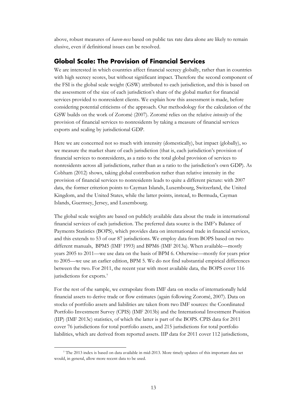above, robust measures of *haven-ness* based on public tax rate data alone are likely to remain elusive, even if definitional issues can be resolved.

#### **Global Scale: The Provision of Financial Services**

We are interested in which countries affect financial secrecy globally, rather than in countries with high secrecy scores, but without significant impact. Therefore the second component of the FSI is the global scale weight (GSW) attributed to each jurisdiction, and this is based on the assessment of the size of each jurisdiction's share of the global market for financial services provided to nonresident clients. We explain how this assessment is made, before considering potential criticisms of the approach. Our methodology for the calculation of the GSW builds on the work of Zoromé (2007). Zoromé relies on the relative *intensity* of the provision of financial services to nonresidents by taking a measure of financial services exports and scaling by jurisdictional GDP.

Here we are concerned not so much with intensity (domestically), but impact (globally), so we measure the market share of each jurisdiction (that is, each jurisdiction's provision of financial services to nonresidents, as a ratio to the total global provision of services to nonresidents across all jurisdictions, rather than as a ratio to the jurisdiction's own GDP). As Cobham (2012) shows, taking global contribution rather than relative intensity in the provision of financial services to nonresidents leads to quite a different picture: with 2007 data, the former criterion points to Cayman Islands, Luxembourg, Switzerland, the United Kingdom, and the United States, while the latter points, instead, to Bermuda, Cayman Islands, Guernsey, Jersey, and Luxembourg.

The global scale weights are based on publicly available data about the trade in international financial services of each jurisdiction. The preferred data source is the IMF's Balance of Payments Statistics (BOPS), which provides data on international trade in financial services, and this extends to 53 of our 87 jurisdictions. We employ data from BOPS based on two different manuals, BPM5 (IMF 1993) and BPM6 (IMF 2013a). When available—mostly years 2005 to 2011—we use data on the basis of BPM 6. Otherwise—mostly for years prior to 2005—we use an earlier edition, BPM 5. We do not find substantial empirical differences between the two. For 2011, the recent year with most available data, the BOPS cover 116 jurisdictions for exports.7

For the rest of the sample, we extrapolate from IMF data on stocks of internationally held financial assets to derive trade or flow estimates (again following Zoromé, 2007). Data on stocks of portfolio assets and liabilities are taken from two IMF sources: the Coordinated Portfolio Investment Survey (CPIS) (IMF 2013b) and the International Investment Position (IIP) (IMF 2013c) statistics, of which the latter is part of the BOPS. CPIS data for 2011 cover 76 jurisdictions for total portfolio assets, and 215 jurisdictions for total portfolio liabilities, which are derived from reported assets. IIP data for 2011 cover 112 jurisdictions,

l

<sup>7</sup> The 2013 index is based on data available in mid-2013. More timely updates of this important data set would, in general, allow more recent data to be used.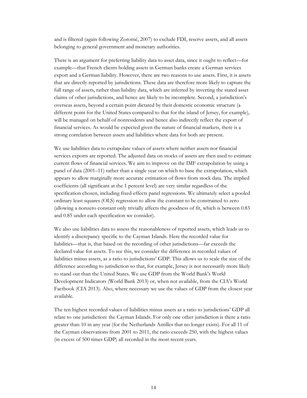and is filtered (again following Zoromé, 2007) to exclude FDI, reserve assets, and all assets belonging to general government and monetary authorities.

There is an argument for preferring liability data to asset data, since it ought to reflect—for example—that French clients holding assets in German banks create a German services export and a German liability. However, there are two reasons to use assets. First, it is assets that are directly reported by jurisdictions. These data are therefore more likely to capture the full range of assets, rather than liability data, which are inferred by inverting the stated asset claims of other jurisdictions, and hence are likely to be incomplete. Second, a jurisdiction's overseas assets, beyond a certain point dictated by their domestic economic structure (a different point for the United States compared to that for the island of Jersey, for example), will be managed on behalf of nonresidents and hence also indirectly reflect the export of financial services. As would be expected given the nature of financial markets, there is a strong correlation between assets and liabilities where data for both are present.

We use liabilities data to extrapolate values of assets where neither assets nor financial services exports are reported. The adjusted data on stocks of assets are then used to estimate current flows of financial services. We aim to improve on the IMF extrapolation by using a panel of data (2001–11) rather than a single year on which to base the extrapolation, which appears to allow marginally more accurate estimation of flows from stock data. The implied coefficients (all significant at the 1 percent level) are very similar regardless of the specification chosen, including fixed-effects panel regressions. We ultimately select a pooled ordinary least squares (OLS) regression to allow the constant to be constrained to zero (allowing a nonzero constant only trivially affects the goodness of fit, which is between 0.83 and 0.85 under each specification we consider).

We also use liabilities data to assess the reasonableness of reported assets, which leads us to identify a discrepancy specific to the Cayman Islands. Here the recorded value for liabilities—that is, that based on the recording of other jurisdictions—far exceeds the declared value for assets. To see this, we consider the difference in recorded values of liabilities minus assets, as a ratio to jurisdictions' GDP. This allows us to scale the size of the difference according to jurisdiction so that, for example, Jersey is not necessarily more likely to stand out than the United States. We use GDP from the World Bank's World Development Indicators (World Bank 2013) or, when not available, from the CIA's World Factbook (CIA 2013). Also, where necessary we use the values of GDP from the closest year available.

The ten highest recorded values of liabilities minus assets as a ratio to jurisdictions' GDP all relate to one jurisdiction: the Cayman Islands. For only one other jurisdiction is there a ratio greater than 10 in any year (for the Netherlands Antilles that no longer exists). For all 11 of the Cayman observations from 2001 to 2011, the ratio exceeds 250, with the highest values (in excess of 500 times GDP) all recorded in the most recent years.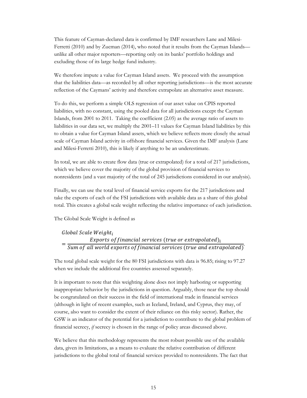This feature of Cayman-declared data is confirmed by IMF researchers Lane and Milesi-Ferretti (2010) and by Zucman (2014), who noted that it results from the Cayman Islands unlike all other major reporters—reporting only on its banks' portfolio holdings and excluding those of its large hedge fund industry.

We therefore impute a value for Cayman Island assets. We proceed with the assumption that the liabilities data—as recorded by all other reporting jurisdictions—is the most accurate reflection of the Caymans' activity and therefore extrapolate an alternative asset measure.

To do this, we perform a simple OLS regression of our asset value on CPIS reported liabilities, with no constant, using the pooled data for all jurisdictions except the Cayman Islands, from 2001 to 2011. Taking the coefficient (2.05) as the average ratio of assets to liabilities in our data set, we multiply the 2001–11 values for Cayman Island liabilities by this to obtain a value for Cayman Island assets, which we believe reflects more closely the actual scale of Cayman Island activity in offshore financial services. Given the IMF analysis (Lane and Milesi-Ferretti 2010), this is likely if anything to be an underestimate.

In total, we are able to create flow data (true or extrapolated) for a total of 217 jurisdictions, which we believe cover the majority of the global provision of financial services to nonresidents (and a vast majority of the total of 245 jurisdictions considered in our analysis).

Finally, we can use the total level of financial service exports for the 217 jurisdictions and take the exports of each of the FSI jurisdictions with available data as a share of this global total. This creates a global scale weight reflecting the relative importance of each jurisdiction.

The Global Scale Weight is defined as

| Global Scale Weight,                                                   |
|------------------------------------------------------------------------|
| Exports of financial services (true or extrapolated),                  |
| Sum of all world exports of financial services (true and extrapolated) |

The total global scale weight for the 80 FSI jurisdictions with data is 96.85; rising to 97.27 when we include the additional five countries assessed separately.

It is important to note that this weighting alone does not imply harboring or supporting inappropriate behavior by the jurisdictions in question. Arguably, those near the top should be congratulated on their success in the field of international trade in financial services (although in light of recent examples, such as Iceland, Ireland, and Cyprus, they may, of course, also want to consider the extent of their reliance on this risky sector). Rather, the GSW is an indicator of the potential for a jurisdiction to contribute to the global problem of financial secrecy, *if* secrecy is chosen in the range of policy areas discussed above.

We believe that this methodology represents the most robust possible use of the available data, given its limitations, as a means to evaluate the relative contribution of different jurisdictions to the global total of financial services provided to nonresidents. The fact that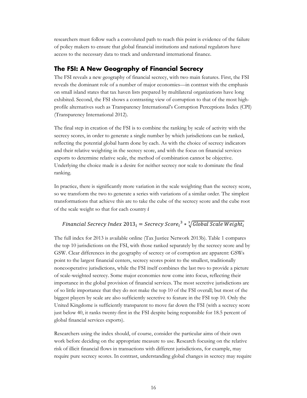researchers must follow such a convoluted path to reach this point is evidence of the failure of policy makers to ensure that global financial institutions and national regulators have access to the necessary data to track and understand international finance.

# **The FSI: A New Geography of Financial Secrecy**

The FSI reveals a new geography of financial secrecy, with two main features. First, the FSI reveals the dominant role of a number of major economies—in contrast with the emphasis on small island states that tax haven lists prepared by multilateral organizations have long exhibited. Second, the FSI shows a contrasting view of corruption to that of the most highprofile alternatives such as Transparency International's Corruption Perceptions Index (CPI) (Transparency International 2012).

The final step in creation of the FSI is to combine the ranking by scale of activity with the secrecy scores, in order to generate a single number by which jurisdictions can be ranked, reflecting the potential global harm done by each. As with the choice of secrecy indicators and their relative weighting in the secrecy score, and with the focus on financial services exports to determine relative scale, the method of combination cannot be objective. Underlying the choice made is a desire for neither secrecy nor scale to dominate the final ranking.

In practice, there is significantly more variation in the scale weighting than the secrecy score, so we transform the two to generate a series with variations of a similar order. The simplest transformations that achieve this are to take the cube of the secrecy score and the cube root of the scale weight so that for each country  $i$ 

# Financial Secrecy Index 2013 $_i$  = Secrecy Score $_i^3 * \sqrt[3]{Global}$  Scale Weight $_i$

The full index for 2013 is available online (Tax Justice Network 2013b). Table 1 compares the top 10 jurisdictions on the FSI, with those ranked separately by the secrecy score and by GSW. Clear differences in the geography of secrecy or of corruption are apparent: GSWs point to the largest financial centers, secrecy scores point to the smallest, traditionally noncooperative jurisdictions, while the FSI itself combines the last two to provide a picture of scale-weighted secrecy. Some major economies now come into focus, reflecting their importance in the global provision of financial services. The most secretive jurisdictions are of so little importance that they do not make the top 10 of the FSI overall; but most of the biggest players by scale are also sufficiently secretive to feature in the FSI top 10. Only the United Kingdome is sufficiently transparent to move far down the FSI (with a secrecy score just below 40, it ranks twenty-first in the FSI despite being responsible for 18.5 percent of global financial services exports).

Researchers using the index should, of course, consider the particular aims of their own work before deciding on the appropriate measure to use. Research focusing on the relative risk of illicit financial flows in transactions with different jurisdictions, for example, may require pure secrecy scores. In contrast, understanding global changes in secrecy may require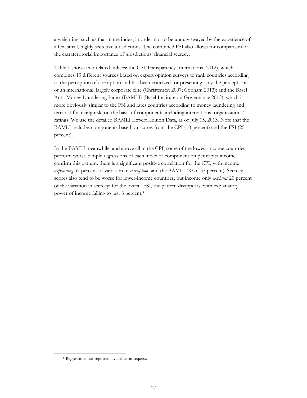a weighting, such as that in the index, in order not to be unduly swayed by the experience of a few small, highly secretive jurisdictions. The combined FSI also allows for comparison of the extraterritorial importance of jurisdictions' financial secrecy.

Table 1 shows two related indices: the CPI(Transparency International 2012), which combines 13 different sources based on expert opinion surveys to rank countries according to the perception of corruption and has been criticized for presenting only the perceptions of an international, largely corporate elite (Christensen 2007; Cobham 2013); and the Basel Anti–Money Laundering Index (BAMLI) (Basel Institute on Governance 2013), which is more obviously similar to the FSI and rates countries according to money laundering and terrorist financing risk, on the basis of components including international organizations' ratings. We use the detailed BAMLI Expert Edition Data, as of July 15, 2013. Note that the BAMLI includes components based on scores from the CPI (10 percent) and the FSI (25 percent).

In the BAMLI meanwhile, and above all in the CPI, some of the lowest-income countries perform worst. Simple regressions of each index or component on per capita income confirm this pattern: there is a significant positive correlation for the CPI, with income *explaining* 57 percent of variation in *corruption*, and the BAMLI (*R²* of 37 percent). Secrecy scores also tend to be worse for lower-income countries, but income only *explains* 20 percent of the variation in secrecy; for the overall FSI, the pattern disappears, with explanatory power of income falling to just 8 percent.8

l

<sup>8</sup> Regressions not reported; available on request.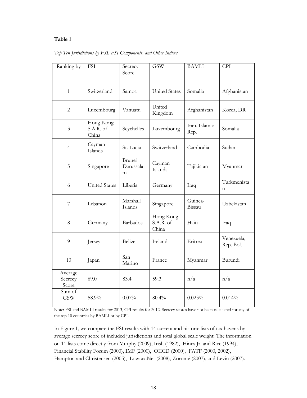#### **Table 1**

| Ranking by                  | <b>FSI</b>                      | Secrecy<br>Score         | <b>GSW</b>                      | <b>BAMLI</b>          | <b>CPI</b>              |
|-----------------------------|---------------------------------|--------------------------|---------------------------------|-----------------------|-------------------------|
| $\mathbf{1}$                | Switzerland                     | Samoa                    | <b>United States</b>            | Somalia               | Afghanistan             |
| $\overline{2}$              | Luxembourg                      | Vanuatu                  | United<br>Kingdom               | Afghanistan           | Korea, DR               |
| $\overline{3}$              | Hong Kong<br>S.A.R. of<br>China | Seychelles               | Luxembourg                      | Iran, Islamic<br>Rep. | Somalia                 |
| $\overline{4}$              | Cayman<br>Islands               | St. Lucia                | Switzerland                     | Cambodia              | Sudan                   |
| 5                           | Singapore                       | Brunei<br>Darussala<br>m | Cayman<br>Islands               | Tajikistan            | Myanmar                 |
| 6                           | <b>United States</b>            | Liberia                  | Germany                         | Iraq                  | Turkmenista<br>n        |
| $\overline{\mathcal{I}}$    | Lebanon                         | Marshall<br>Islands      | Singapore                       | Guinea-<br>Bissau     | Uzbekistan              |
| 8                           | Germany                         | <b>Barbados</b>          | Hong Kong<br>S.A.R. of<br>China | Haiti                 | Iraq                    |
| 9                           | Jersey                          | Belize                   | Ireland                         | Eritrea               | Venezuela,<br>Rep. Bol. |
| 10                          | Japan                           | San<br>Marino            | France                          | Myanmar               | Burundi                 |
| Average<br>Secrecy<br>Score | 69.0                            | 83.4                     | 59.3                            | n/a                   | n/a                     |
| Sum of<br><b>GSW</b>        | 58.9%                           | 0.07%                    | 80.4%                           | 0.023%                | 0.014%                  |

*Top Ten Jurisdictions by FSI, FSI Components, and Other Indices* 

Note: FSI and BAMLI results for 2013, CPI results for 2012. Secrecy scores have not been calculated for any of the top 10 countries by BAMLI or by CPI.

In Figure 1, we compare the FSI results with 14 current and historic lists of tax havens by average secrecy score of included jurisdictions and total global scale weight. The information on 11 lists come directly from Murphy (2009), Irish (1982), Hines Jr. and Rice (1994), Financial Stability Forum (2000), IMF (2000), OECD (2000), FATF (2000, 2002), Hampton and Christensen (2005), Lowtax.Net (2008), Zoromé (2007), and Levin (2007).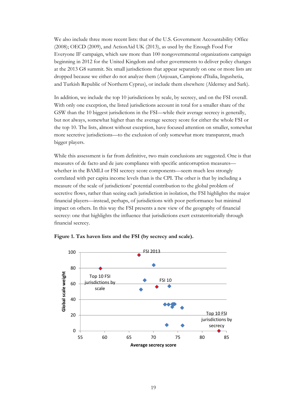We also include three more recent lists: that of the U.S. Government Accountability Office (2008); OECD (2009), and ActionAid UK (2013), as used by the Enough Food For Everyone IF campaign, which saw more than 100 nongovernmental organizations campaign beginning in 2012 for the United Kingdom and other governments to deliver policy changes at the 2013 G8 summit. Six small jurisdictions that appear separately on one or more lists are dropped because we either do not analyze them (Anjouan, Campione d'Italia, Ingushetia, and Turkish Republic of Northern Cyprus), or include them elsewhere (Alderney and Sark).

In addition, we include the top 10 jurisdictions by scale, by secrecy, and on the FSI overall. With only one exception, the listed jurisdictions account in total for a smaller share of the GSW than the 10 biggest jurisdictions in the FSI—while their average secrecy is generally, but not always, somewhat higher than the average secrecy score for either the whole FSI or the top 10. The lists, almost without exception, have focused attention on smaller, somewhat more secretive jurisdictions—to the exclusion of only somewhat more transparent, much bigger players.

While this assessment is far from definitive, two main conclusions are suggested. One is that measures of de facto and de jure compliance with specific anticorruption measures whether in the BAMLI or FSI secrecy score components—seem much less strongly correlated with per capita income levels than is the CPI. The other is that by including a measure of the scale of jurisdictions' potential contribution to the global problem of secretive flows, rather than seeing each jurisdiction in isolation, the FSI highlights the major financial players—instead, perhaps, of jurisdictions with poor performance but minimal impact on others. In this way the FSI presents a new view of the geography of financial secrecy: one that highlights the influence that jurisdictions exert extraterritorially through financial secrecy.



**Figure 1. Tax haven lists and the FSI (by secrecy and scale).**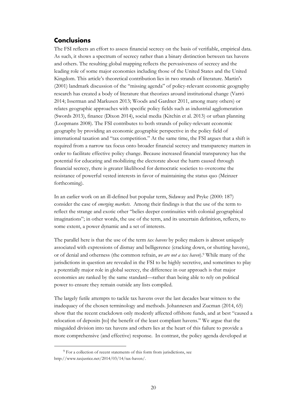## **Conclusions**

The FSI reflects an effort to assess financial secrecy on the basis of verifiable, empirical data. As such, it shows a spectrum of secrecy rather than a binary distinction between tax havens and others. The resulting global mapping reflects the pervasiveness of secrecy and the leading role of some major economies including those of the United States and the United Kingdom. This article's theoretical contribution lies in two strands of literature. Martin's (2001) landmark discussion of the "missing agenda" of policy-relevant economic geography research has created a body of literature that theorizes around institutional change (Varró 2014; Isserman and Markusen 2013; Woods and Gardner 2011, among many others) or relates geographic approaches with specific policy fields such as industrial agglomeration (Swords 2013), finance (Dixon 2014), social media (Kitchin et al. 2013) or urban planning (Loopmans 2008). The FSI contributes to both strands of policy-relevant economic geography by providing an economic geographic perspective in the policy field of international taxation and "tax competition." At the same time, the FSI argues that a shift is required from a narrow tax focus onto broader financial secrecy and transparency matters in order to facilitate effective policy change. Because increased financial transparency has the potential for educating and mobilizing the electorate about the harm caused through financial secrecy, there is greater likelihood for democratic societies to overcome the resistance of powerful vested interests in favor of maintaining the status quo (Meinzer forthcoming).

In an earlier work on an ill-defined but popular term, Sidaway and Pryke (2000: 187) consider the case of *emerging markets*. Among their findings is that the use of the term to reflect the strange and exotic other "belies deeper continuities with colonial geographical imaginations"; in other words, the use of the term, and its uncertain definition, reflects, to some extent, a power dynamic and a set of interests.

The parallel here is that the use of the term *tax havens* by policy makers is almost uniquely associated with expressions of dismay and belligerence (cracking down, or shutting havens), or of denial and otherness (the common refrain, *we are not a tax haven*).9 While many of the jurisdictions in question are revealed in the FSI to be highly secretive, and sometimes to play a potentially major role in global secrecy, the difference in our approach is that major economies are ranked by the same standard—rather than being able to rely on political power to ensure they remain outside any lists compiled.

The largely futile attempts to tackle tax havens over the last decades bear witness to the inadequacy of the chosen terminology and methods. Johannesen and Zucman (2014, 65) show that the recent crackdown only modestly affected offshore funds, and at best "caused a relocation of deposits [to] the benefit of the least compliant havens." We argue that the misguided division into tax havens and others lies at the heart of this failure to provide a more comprehensive (and effective) response. In contrast, the policy agenda developed at

**.** 

<sup>9</sup> For a collection of recent statements of this form from jurisdictions, see http://www.taxjustice.net/2014/03/14/tax-haven/.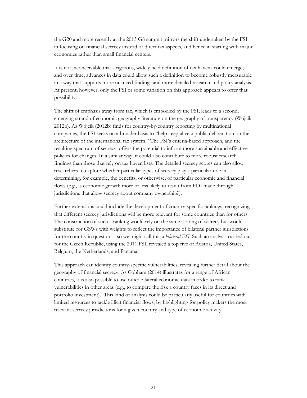the G20 and more recently at the 2013 G8 summit mirrors the shift undertaken by the FSI in focusing on financial secrecy instead of direct tax aspects, and hence in starting with major economies rather than small financial centers.

It is not inconceivable that a rigorous, widely held definition of tax havens could emerge; and over time, advances in data could allow such a definition to become robustly measurable in a way that supports more nuanced findings and more detailed research and policy analysis. At present, however, only the FSI or some variation on this approach appears to offer that possibility.

The shift of emphasis away from tax, which is embodied by the FSI, leads to a second, emerging strand of economic geography literature on the geography of transparency (Wójcik 2012b). As Wójcik (2012b) finds for country-by-country reporting by multinational companies, the FSI seeks on a broader basis to "help keep alive a public deliberation on the architecture of the international tax system." The FSI's criteria-based approach, and the resulting spectrum of secrecy, offers the potential to inform more sustainable and effective policies for changes. In a similar way, it could also contribute to more robust research findings than those that rely on tax haven lists. The detailed secrecy scores can also allow researchers to explore whether particular types of secrecy play a particular role in determining, for example, the benefits, or otherwise, of particular economic and financial flows (e.g., is economic growth more or less likely to result from FDI made through jurisdictions that allow secrecy about company ownership?).

Further extensions could include the development of country-specific rankings, recognizing that different secrecy jurisdictions will be more relevant for some countries than for others. The construction of such a ranking would rely on the same scoring of secrecy but would substitute for GSWs with weights to reflect the importance of bilateral partner jurisdictions for the country in question—so we might call this a *bilateral FSI*. Such an analysis carried out for the Czech Republic, using the 2011 FSI, revealed a top five of Austria, United States, Belgium, the Netherlands, and Panama.

This approach can identify country-specific vulnerabilities, revealing further detail about the geography of financial secrecy. As Cobham (2014) illustrates for a range of African countries, it is also possible to use other bilateral economic data in order to rank vulnerabilities in other areas (e.g., to compare the risk a country faces in its direct and portfolio investment). This kind of analysis could be particularly useful for countries with limited resources to tackle illicit financial flows, by highlighting for policy makers the most relevant secrecy jurisdictions for a given country and type of economic activity.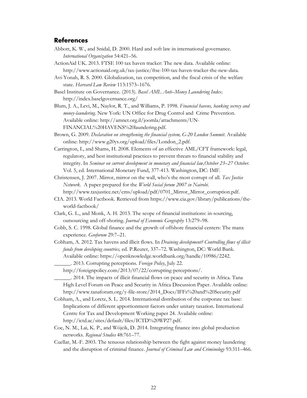#### **References**

- Abbott, K. W., and Snidal, D. 2000. Hard and soft law in international governance. *International Organization* 54:421–56.
- ActionAid UK. 2013. FTSE 100 tax haven tracker: The new data. Available online: http://www.actionaid.org.uk/tax-justice/ftse-100-tax-haven-tracker-the-new-data.
- Avi-Yonah, R. S. 2000. Globalization, tax competition, and the fiscal crisis of the welfare state. *Harvard Law Review* 113:1573–1676.
- Basel Institute on Governance. (2013). *Basel AML Anti–Money Laundering Index*. http://index.baselgovernance.org/
- Blum, J. A., Levi, M., Naylor, R. T., and Williams, P. 1998. *Financial havens, banking secrecy and money-laundering*. New York: UN Office for Drug Control and Crime Prevention. Available online: http://amnet.org.il/joomla/attachments/UN-FINANCIAL%20HAVENS%20laundering.pdf.
- Brown, G. 2009. *Declaration on strengthening the financial system, G-20 London Summit*. Available online: http://www.g20ys.org/upload/files/London\_2.pdf.
- Carrington, I., and Shams, H. 2008. Elements of an effective AML/CFT framework: legal, regulatory, and best institutional practices to prevent threats to financial stability and integrity. In *Seminar on current development in monetary and financial law,October 23–27 October.*  Vol. 5, ed. International Monetary Fund, 377-413. Washington, DC: IMF.
- Christensen, J. 2007. Mirror, mirror on the wall, who's the most corrupt of all. *Tax Justice Network.* A paper prepared for the *World Social forum 2007 in Nairobi*. http://www.taxjustice.net/cms/upload/pdf/0701\_Mirror\_Mirror\_corruption.pdf.
- CIA. 2013. World Factbook. Retrieved from https://www.cia.gov/library/publications/theworld-factbook/
- Clark, G. L., and Monk, A. H. 2013. The scope of financial institutions: in-sourcing, outsourcing and off-shoring. *Journal of Economic Geography* 13:279–98.
- Cobb, S. C. 1998. Global finance and the growth of offshore financial centers: The manx experience. *Geoforum* 29:7–21.
- Cobham, A. 2012. Tax havens and illicit flows. In *Draining development? Controlling flows of illicit funds from developing countries,* ed. P.Reuter, 337–72. Washington, DC: World Bank. Available online: https://openknowledge.worldbank.org/handle/10986/2242.
	- \_\_\_\_\_\_. 2013. Corrupting perceptions. *Foreign Policy*, July 22. http://foreignpolicy.com/2013/07/22/corrupting-perceptions/.
	- \_\_\_\_\_\_. 2014. The impacts of illicit financial flows on peace and security in Africa. Tana High Level Forum on Peace and Security in Africa Discussion Paper. Available online: http://www.tanaforum.org/y-file-store/2014\_Docs/IFFs%20and%20Security.pdf
- Cobham, A., and Loretz, S. L. 2014. International distribution of the corporate tax base: Implications of different apportionment factors under unitary taxation. International Centre for Tax and Development Working paper 24. Available online: http://ictd.ac/sites/default/files/ICTD%20WP27.pdf.
- Coe, N. M., Lai, K. P., and Wójcik, D. 2014. Integrating finance into global production networks. *Regional Studies* 48:761–77.
- Cuellar, M.-F. 2003. The tenuous relationship between the fight against money laundering and the disruption of criminal finance. *Journal of Criminal Law and Criminology* 93:311–466.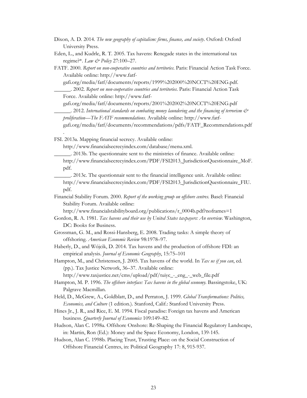| Dixon, A. D. 2014. The new geography of capitalism: firms, finance, and society. Oxford: Oxford |  |  |  |  |
|-------------------------------------------------------------------------------------------------|--|--|--|--|
| University Press.                                                                               |  |  |  |  |

- Eden, L., and Kudrle, R. T. 2005. Tax havens: Renegade states in the international tax regime?\*. *Law & Policy* 27:100–27.
- FATF. 2000. *Report on non-cooperative countries and territories*. Paris: Financial Action Task Force. Available online: http://www.fatf
	- gafi.org/media/fatf/documents/reports/1999%202000%20NCCT%20ENG.pdf. \_\_\_\_\_\_. 2002. *Report on non-cooperative countries and territories*. Paris: Financial Action Task Force. Available online: http://www.fatf-
	- gafi.org/media/fatf/documents/reports/2001%202002%20NCCT%20ENG.pdf

\_\_\_\_\_\_. 2012. *International standards on combating money laundering and the financing of terrorism & proliferation—The FATF recommendations*. Available online: http://www.fatf-

gafi.org/media/fatf/documents/recommendations/pdfs/FATF\_Recommendations.pdf

FSI. 2013a. Mapping financial secrecy. Available online:

.

http://www.financialsecrecyindex.com/database/menu.xml.

\_\_\_\_\_\_. 2013b. The questionnaire sent to the ministries of finance. Available online: http://www.financialsecrecyindex.com/PDF/FSI2013\_JurisdictionQuestionnaire\_MoF. pdf.

\_\_\_\_\_\_. 2013c. The questionnair sent to the financial intelligence unit. Available online: http://www.financialsecrecyindex.com/PDF/FSI2013\_JurisdictionQuestionnaire\_FIU. pdf.

Financial Stability Forum. 2000. *Report of the working group on offshore centres*. Basel: Financial Stability Forum. Available online:

http://www.financialstabilityboard.org/publications/r\_0004b.pdf?noframes=1

Gordon, R. A. 1981. *Tax havens and their use by United States taxpayers: An overview*. Washington, DC: Books for Business.

- Grossman, G. M., and Rossi-Hansberg, E. 2008. Trading tasks: A simple theory of offshoring. *American Economic Review* 98:1978–97.
- Haberly, D., and Wójcik, D. 2014. Tax havens and the production of offshore FDI: an empirical analysis. *Journal of Economic Geography*, 15:75–101

Hampton, M., and Christensen, J. 2005. Tax havens of the world. In *Tax us if you can*, ed. (pp.). Tax Justice Network, 36–37. Available online:

http://www.taxjustice.net/cms/upload/pdf/tuiyc\_-\_eng\_-\_web\_file.pdf

- Hampton, M. P. 1996. *The offshore interface: Tax havens in the global economy.* Bassingstoke, UK: Palgrave Macmillan.
- Held, D., McGrew, A., Goldblatt, D., and Perraton, J. 1999. *Global Transformations: Politics, Economics, and Culture* (1 edition.). Stanford, Calif.: Stanford University Press.
- Hines Jr., J. R., and Rice, E. M. 1994. Fiscal paradise: Foreign tax havens and American business. *Quarterly Journal of Economics* 109:149–82.
- Hudson, Alan C. 1998a. Offshore Onshore: Re-Shaping the Financial Regulatory Landscape, in: Martin, Ron (Ed.): Money and the Space Economy, London, 139-145.
- Hudson, Alan C. 1998b. Placing Trust, Trusting Place: on the Social Construction of Offshore Financial Centres, in: Political Geography 17: 8, 915-937.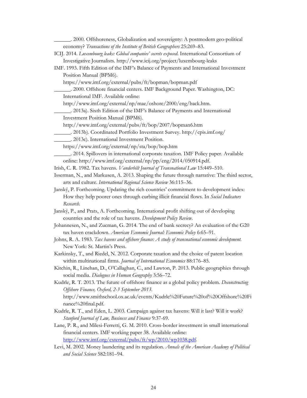| 2000. Offshoreness, Globalization and sovereignty: A postmodern geo-political                                                                                         |
|-----------------------------------------------------------------------------------------------------------------------------------------------------------------------|
| economy? Transactions of the Institute of British Geographers 25:269-83.                                                                                              |
| ICIJ. 2014. Luxembourg leaks: Global companies' secrets exposed. International Consortium of                                                                          |
| Investigative Journalists. http://www.icij.org/project/luxembourg-leaks                                                                                               |
| IMF. 1993. Fifth Edition of the IMF's Balance of Payments and International Investment                                                                                |
| Position Manual (BPM6).                                                                                                                                               |
| https://www.imf.org/external/pubs/ft/bopman/bopman.pdf                                                                                                                |
| __. 2000. Offshore financial centers. IMF Background Paper. Washington, DC:                                                                                           |
| International IMF. Available online:                                                                                                                                  |
| http://www.imf.org/external/np/mae/oshore/2000/eng/back.htm.                                                                                                          |
|                                                                                                                                                                       |
| Investment Position Manual (BPM6).                                                                                                                                    |
| http://www.imf.org/external/pubs/ft/bop/2007/bopman6.htm                                                                                                              |
|                                                                                                                                                                       |
| . 2013c). International Investment Position.                                                                                                                          |
| https://www.imf.org/external/np/sta/bop/bop.htm                                                                                                                       |
| 2014. Spillovers in international corporate taxation. IMF Policy paper. Available                                                                                     |
| online: http://www.imf.org/external/np/pp/eng/2014/050914.pdf.                                                                                                        |
| Irish, C. R. 1982. Tax havens. Vanderbilt Journal of Transnational Law 15:449-510.                                                                                    |
| Isserman, N., and Markusen, A. 2013. Shaping the future through narrative: The third sector,                                                                          |
| arts and culture. International Regional Science Review 36:115-36.                                                                                                    |
| Janský, P. Forthcoming. Updating the rich countries' commitment to development index:                                                                                 |
| How they help poorer ones through curbing illicit financial flows. In Social Indicators                                                                               |
| Research.                                                                                                                                                             |
| Janský, P., and Prats, A. Forthcoming. International profit shifting out of developing                                                                                |
| countries and the role of tax havens. Development Policy Review.                                                                                                      |
| Johannesen, N., and Zucman, G. 2014. The end of bank secrecy? An evaluation of the G20                                                                                |
| tax haven crackdown. American Economic Journal: Economic Policy 6:65-91.                                                                                              |
| Johns, R. A. 1983. Tax havens and offshore finance: A study of transnational economic development.                                                                    |
| New York: St. Martin's Press.                                                                                                                                         |
| Karkinsky, T., and Riedel, N. 2012. Corporate taxation and the choice of patent location<br>within multinational firms. Journal of International Economics 88:176-85. |
| Kitchin, R., Linehan, D., O'Callaghan, C., and Lawton, P. 2013. Public geographies through                                                                            |
| social media. Dialogues in Human Geography 3:56-72.                                                                                                                   |
| Kudrle, R. T. 2013. The future of offshore finance as a global policy problem. <i>Deconstructing</i>                                                                  |
| Offshore Finance, Oxford, 2-3 September 2013.                                                                                                                         |
| http://www.smithschool.ox.ac.uk/events/Kudrle%20Future%20of%20Offshore%20Fi                                                                                           |
| nance%20final.pdf.                                                                                                                                                    |
| Kudrle, R. T., and Eden, L. 2003. Campaign against tax havens: Will it last? Will it work?                                                                            |
| Stanford Journal of Law, Business and Finance 9:37-69.                                                                                                                |
| Lane, P. R., and Milesi-Ferretti, G. M. 2010. Cross-border investment in small international                                                                          |
| financial centers. IMF working paper 38. Available online:                                                                                                            |
| http://www.imf.org/external/pubs/ft/wp/2010/wp1038.pdf.                                                                                                               |
| Levi, M. 2002. Money laundering and its regulation. Annals of the American Academy of Political                                                                       |
| and Social Science 582:181-94.                                                                                                                                        |
|                                                                                                                                                                       |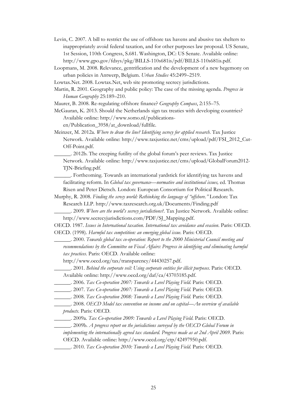- Levin, C. 2007. A bill to restrict the use of offshore tax havens and abusive tax shelters to inappropriately avoid federal taxation, and for other purposes law proposal. US Senate, 1st Session, 110th Congress, S.681. Washington, DC: US Senate. Available online: http://www.gpo.gov/fdsys/pkg/BILLS-110s681is/pdf/BILLS-110s681is.pdf.
- Loopmans, M. 2008. Relevance, gentrification and the development of a new hegemony on urban policies in Antwerp, Belgium. *Urban Studies* 45:2499–2519.
- Lowtax.Net. 2008. Lowtax.Net, web site promoting secrecy jurisdictions.
- Martin, R. 2001. Geography and public policy: The case of the missing agenda. *Progress in Human Geography* 25:189–210.

Maurer, B. 2008. Re-regulating offshore finance? *Geography Compass*, 2:155–75.

McGauran, K. 2013. Should the Netherlands sign tax treaties with developing countries? Available online: http://www.somo.nl/publicationsen/Publication\_3958/at\_download/fullfile.

Meinzer, M. 2012a. *Where to draw the line? Identifying secrecy for applied research*. Tax Justice Network. Available online: http://www.taxjustice.net/cms/upload/pdf/FSI\_2012\_Cut-Off-Point.pdf.

\_\_\_\_\_\_. 2012b. The creeping futility of the global forum's peer reviews. Tax Justice Network. Available online: http://www.taxjustice.net/cms/upload/GlobalForum2012- TJN-Briefing.pdf.

\_\_\_\_\_\_. Forthcoming. Towards an international yardstick for identifying tax havens and facilitating reform. In *Global tax governance—normative and institutional issues,* ed. Thomas Rixen and Peter Dietsch. London: European Consortium for Political Research.

- Murphy, R. 2008. *Finding the screcy world: Rethinking the language of "offshore."* London: Tax
	- Research LLP. http://www.taxresearch.org.uk/Documents/Finding.pdf

\_\_\_\_\_\_. 2009. *Where are the world's secrecy jurisdictions?*. Tax Justice Network. Available online: http://www.secrecyjurisdictions.com/PDF/SJ\_Mapping.pdf.

OECD. 1987. *Issues in International taxation. International tax avoidance and evasion*. Paris: OECD.

OECD. (1998). *Harmful tax competition: an emerging global issue*. Paris: OECD.

\_\_\_\_\_\_. 2000. *Towards global tax co-operation: Report to the 2000 Ministerial Council meeting and*  recommendations by the Committee on Fiscal Affairs: Progress in identifying and eliminating harmful *tax practices*. Paris: OECD. Available online:

http://www.oecd.org/tax/transparency/44430257.pdf.

- \_\_\_\_\_\_. 2001. *Behind the corporate veil: Using corporate entities for illicit purposes*. Paris: OECD. Available online: http://www.oecd.org/daf/ca/43703185.pdf.
- \_\_\_\_\_\_. 2006. *Tax Co-operation 2007: Towards a Level Playing Field*. Paris: OECD.
- \_\_\_\_\_\_. 2007. *Tax Co-operation 2007: Towards a Level Playing Field*. Paris: OECD.
- \_\_\_\_\_\_. 2008. *Tax Co-operation 2008: Towards a Level Playing Field*. Paris: OECD.

\_\_\_\_\_\_. 2008. *OECD Model tax convention on income and on capital—An overview of available products*. Paris: OECD.

\_\_\_\_\_\_. 2009a. *Tax Co-operation 2009: Towards a Level Playing Field*. Paris: OECD.

\_\_\_\_\_\_. 2009b. *A progress report on the jurisdictions surveyed by the OECD Global Forum in* 

*implementing the internationally agreed tax standard. Progress made as at 2nd April 2009.* Paris:

OECD. Available online: http://www.oecd.org/ctp/42497950.pdf.

\_\_\_\_\_\_. 2010. *Tax Co-operation 2010: Towards a Level Playing Field*. Paris: OECD.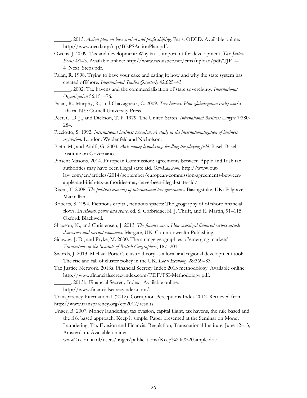\_\_\_\_\_\_. 2013. *Action plan on base erosion and profit shifting*. Paris: OECD. Available online: http://www.oecd.org/ctp/BEPSActionPlan.pdf.

- Owens, J. 2009. Tax and development: Why tax is important for development. *Tax Justice Focus* 4:1–3. Available online: http://www.taxjustice.net/cms/upload/pdf/TJF\_4- 4\_Next\_Steps.pdf.
- Palan, R. 1998. Trying to have your cake and eating it: how and why the state system has created offshore. *International Studies Quarterly* 42:625–43.
	- \_\_\_\_\_\_. 2002. Tax havens and the commercialization of state sovereignty. *International Organization* 56:151–76.
- Palan, R., Murphy, R., and Chavagneux, C. 2009. *Tax havens: How globalization really works* Ithaca, NY: Cornell University Press.
- Peet, C. D. J., and Dickson, T. P. 1979. The United States. *International Business Lawyer* 7:280- 284.
- Picciotto, S. 1992. *International business taxation, A study in the internationalization of business regulation*. London: Weidenfeld and Nicholson.
- Pieth, M., and Aiolfi, G. 2003. *Anti-money laundering: levelling the playing field*. Basel: Basel Institute on Governance.
- Pinsent Masons. 2014. European Commission: agreements between Apple and Irish tax authorities may have been illegal state aid. *Out-Law.com*. http://www.outlaw.com/en/articles/2014/september/european-commission-agreements-betweenapple-and-irish-tax-authorities-may-have-been-illegal-state-aid/
- Rixen, T. 2008. *The political economy of international tax governance*. Basingstoke, UK: Palgrave Macmillan.
- Roberts, S. 1994. Fictitious capital, fictitious spaces: The geography of offshore financial flows. In *Money, power and space*, ed. S. Corbridge; N. J. Thrift, and R. Martin, 91–115. Oxford: Blackwell.
- Shaxson, N., and Christensen, J. 2013. *The finance curse: How oversized financial sectors attack democracy and corrupt economics*. Margate, UK: Commonwealth Publishing.
- Sidaway, J. D., and Pryke, M. 2000. The strange geographies of'emerging markets'. *Transactions of the Institute of British Geographers*, 187–201.
- Swords, J. 2013. Michael Porter's cluster theory as a local and regional development tool: The rise and fall of cluster policy in the UK. *Local Economy* 28:369–83.
- Tax Justice Network. 2013a. Financial Secrecy Index 2013 methodology. Available online: http://www.financialsecrecyindex.com/PDF/FSI-Methodology.pdf.
	- \_\_\_\_\_\_. 2013b. Financial Secrecy Index. Available online:

http://www.financialsecrecyindex.com/.

Transparency International. (2012). Corruption Perceptions Index 2012. Retrieved from http://www.transparency.org/cpi2012/results

Unger, B. 2007. Money laundering, tax evasion, capital flight, tax havens, the rule based and the risk based approach: Keep it simple. Paper presented at the Seminar on Money Laundering, Tax Evasion and Financial Regulation, Transnational Institute, June 12–13, Amsterdam. Available online:

www2.econ.uu.nl/users/unger/publications/Keep%20it%20simple.doc.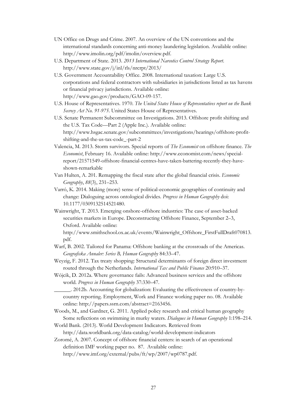- UN Office on Drugs and Crime. 2007. An overview of the UN conventions and the international standards concerning anti-money laundering legislation. Available online: http://www.imolin.org/pdf/imolin/overview.pdf.
- U.S. Department of State. 2013. *2013 International Narcotics Control Strategy Report*. http://www.state.gov/j/inl/rls/nrcrpt/2013/
- U.S. Government Accountability Office. 2008. International taxation: Large U.S. corporations and federal contractors with subsidiaries in jurisdictions listed as tax havens or financial privacy jurisdictions. Available online: http://www.gao.gov/products/GAO-09-157.
- U.S. House of Representatives. 1970. *The United States House of Representatives report on the Bank Secrecy Act No. 91-975*. United States House of Representatives.
- U.S. Senate Permanent Subcommittee on Investigations. 2013. Offshore profit shifting and the U.S. Tax Code—Part 2 (Apple Inc.). Available online: http://www.hsgac.senate.gov/subcommittees/investigations/hearings/offshore-profitshifting-and-the-us-tax-code\_-part-2
- Valencia, M. 2013. Storm survivors. Special reports of *The Economist* on offshore finance. *The Economist*, February 16. Available online: http://www.economist.com/news/specialreport/21571549-offshore-financial-centres-have-taken-battering-recently-they-haveshown-remarkable
- Van Hulten, A. 201. Remapping the fiscal state after the global financial crisis. *Economic Geography*, *88*(3), 231–253.
- Varró, K. 2014. Making (more) sense of political-economic geographies of continuity and change: Dialoguing across ontological divides. *Progress in Human Geography* doi: 10.1177/0309132514521480.
- Wainwright, T. 2013. Emerging onshore-offshore industries: The case of asset-backed securities markets in Europe. Deconstructing Offshore Finance, September 2–3, Oxford. Available online:

http://www.smithschool.ox.ac.uk/events/Wainwright\_Offshore\_FirstFullDraft070813. pdf.

- Warf, B. 2002. Tailored for Panama: Offshore banking at the crossroads of the Americas. *Geografiska Annaler: Series B, Human Geography* 84:33–47.
- Weyzig, F. 2012. Tax treaty shopping: Structural determinants of foreign direct investment routed through the Netherlands. *International Tax and Public Finance* 20:910–37.
- Wójcik, D. 2012a. Where governance fails: Advanced business services and the offshore world. *Progress in Human Geography* 37:330–47.
	- \_\_\_\_\_\_. 2012b. Accounting for globalization: Evaluating the effectiveness of country-bycountry reporting. Employment, Work and Finance working paper no. 08. Available online: http://papers.ssrn.com/abstract=2163456.
- Woods, M., and Gardner, G. 2011. Applied policy research and critical human geography Some reflections on swimming in murky waters. *Dialogues in Human Geography* 1:198–214.
- World Bank. (2013). World Development Indicators. Retrieved from http://data.worldbank.org/data-catalog/world-development-indicators
- Zoromé, A. 2007. Concept of offshore financial centers: in search of an operational definition IMF working paper no. 87. Available online: http://www.imf.org/external/pubs/ft/wp/2007/wp0787.pdf.